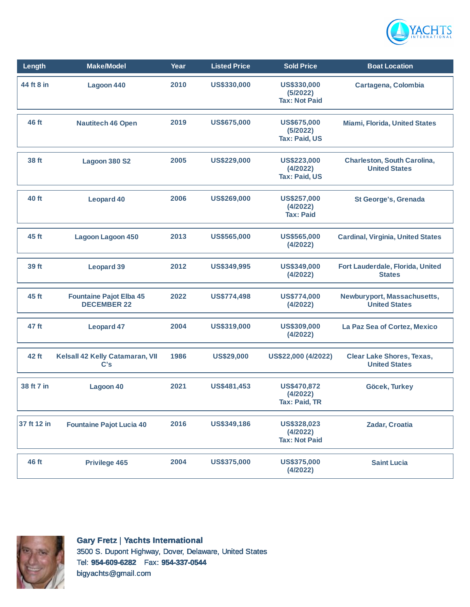

| Length      | <b>Make</b> /Model                                   | Year | <b>Listed Price</b> | <b>Sold Price</b>                               | <b>Boat Location</b>                                       |
|-------------|------------------------------------------------------|------|---------------------|-------------------------------------------------|------------------------------------------------------------|
| 44 ft 8 in  | Lagoon 440                                           | 2010 | US\$330,000         | US\$330,000<br>(5/2022)<br><b>Tax: Not Paid</b> | Cartagena, Colombia                                        |
| 46 ft       | <b>Nautitech 46 Open</b>                             | 2019 | <b>US\$675,000</b>  | US\$675,000<br>(5/2022)<br><b>Tax: Paid, US</b> | <b>Miami, Florida, United States</b>                       |
| 38 ft       | Lagoon 380 S2                                        | 2005 | <b>US\$229,000</b>  | US\$223,000<br>(4/2022)<br><b>Tax: Paid, US</b> | <b>Charleston, South Carolina,</b><br><b>United States</b> |
| 40 ft       | <b>Leopard 40</b>                                    | 2006 | US\$269,000         | US\$257,000<br>(4/2022)<br><b>Tax: Paid</b>     | <b>St George's, Grenada</b>                                |
| 45 ft       | <b>Lagoon Lagoon 450</b>                             | 2013 | <b>US\$565,000</b>  | <b>US\$565,000</b><br>(4/2022)                  | <b>Cardinal, Virginia, United States</b>                   |
| 39 ft       | <b>Leopard 39</b>                                    | 2012 | US\$349,995         | US\$349,000<br>(4/2022)                         | Fort Lauderdale, Florida, United<br><b>States</b>          |
| 45 ft       | <b>Fountaine Pajot Elba 45</b><br><b>DECEMBER 22</b> | 2022 | US\$774,498         | <b>US\$774,000</b><br>(4/2022)                  | Newburyport, Massachusetts,<br><b>United States</b>        |
| 47 ft       | <b>Leopard 47</b>                                    | 2004 | US\$319,000         | US\$309,000<br>(4/2022)                         | La Paz Sea of Cortez, Mexico                               |
| 42 ft       | Kelsall 42 Kelly Catamaran, VII<br>C's               | 1986 | <b>US\$29,000</b>   | US\$22,000 (4/2022)                             | <b>Clear Lake Shores, Texas,</b><br><b>United States</b>   |
| 38 ft 7 in  | Lagoon 40                                            | 2021 | US\$481,453         | US\$470,872<br>(4/2022)<br><b>Tax: Paid, TR</b> | Göcek, Turkey                                              |
| 37 ft 12 in | <b>Fountaine Pajot Lucia 40</b>                      | 2016 | US\$349,186         | US\$328,023<br>(4/2022)<br><b>Tax: Not Paid</b> | Zadar, Croatia                                             |
| 46 ft       | <b>Privilege 465</b>                                 | 2004 | <b>US\$375,000</b>  | <b>US\$375,000</b><br>(4/2022)                  | <b>Saint Lucia</b>                                         |



**Gary Fretz** | **Yachts International** 3500 S. Dupont Highway, Dover, Delaware, United States Tel: **954-609-6282** Fax: **954-337-0544** bigyachts@gmail.com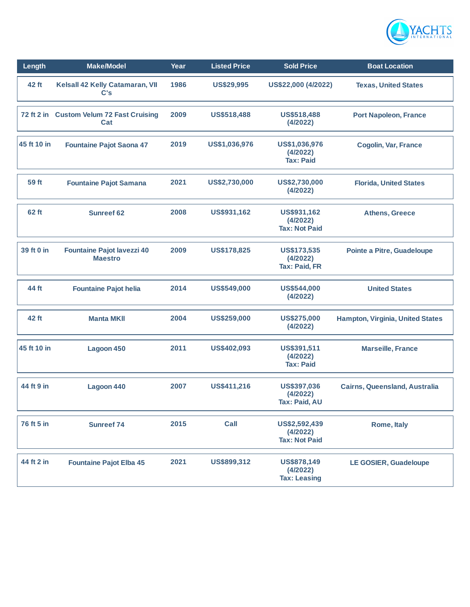

| Length      | <b>Make/Model</b>                                   | Year | <b>Listed Price</b> | <b>Sold Price</b>                                 | <b>Boat Location</b>              |
|-------------|-----------------------------------------------------|------|---------------------|---------------------------------------------------|-----------------------------------|
| 42 ft       | Kelsall 42 Kelly Catamaran, VII<br>C's              | 1986 | <b>US\$29,995</b>   | US\$22,000 (4/2022)                               | <b>Texas, United States</b>       |
|             | 72 ft 2 in Custom Velum 72 Fast Cruising<br>Cat     | 2009 | US\$518,488         | US\$518,488<br>(4/2022)                           | <b>Port Napoleon, France</b>      |
| 45 ft 10 in | <b>Fountaine Pajot Saona 47</b>                     | 2019 | US\$1,036,976       | US\$1,036,976<br>(4/2022)<br><b>Tax: Paid</b>     | <b>Cogolin, Var, France</b>       |
| 59 ft       | <b>Fountaine Pajot Samana</b>                       | 2021 | US\$2,730,000       | US\$2,730,000<br>(4/2022)                         | <b>Florida, United States</b>     |
| 62 ft       | <b>Sunreef 62</b>                                   | 2008 | US\$931,162         | US\$931,162<br>(4/2022)<br><b>Tax: Not Paid</b>   | <b>Athens, Greece</b>             |
| 39 ft 0 in  | <b>Fountaine Pajot lavezzi 40</b><br><b>Maestro</b> | 2009 | <b>US\$178,825</b>  | US\$173,535<br>(4/2022)<br><b>Tax: Paid, FR</b>   | <b>Pointe a Pitre, Guadeloupe</b> |
| 44 ft       | <b>Fountaine Pajot helia</b>                        | 2014 | US\$549,000         | US\$544,000<br>(4/2022)                           | <b>United States</b>              |
| 42 ft       | <b>Manta MKII</b>                                   | 2004 | <b>US\$259,000</b>  | <b>US\$275,000</b><br>(4/2022)                    | Hampton, Virginia, United States  |
| 45 ft 10 in | Lagoon 450                                          | 2011 | US\$402,093         | US\$391,511<br>(4/2022)<br><b>Tax: Paid</b>       | <b>Marseille, France</b>          |
| 44 ft 9 in  | Lagoon 440                                          | 2007 | US\$411,216         | US\$397,036<br>(4/2022)<br>Tax: Paid, AU          | Cairns, Queensland, Australia     |
| 76 ft 5 in  | <b>Sunreef 74</b>                                   | 2015 | Call                | US\$2,592,439<br>(4/2022)<br><b>Tax: Not Paid</b> | Rome, Italy                       |
| 44 ft 2 in  | <b>Fountaine Pajot Elba 45</b>                      | 2021 | US\$899,312         | US\$878,149<br>(4/2022)<br><b>Tax: Leasing</b>    | <b>LE GOSIER, Guadeloupe</b>      |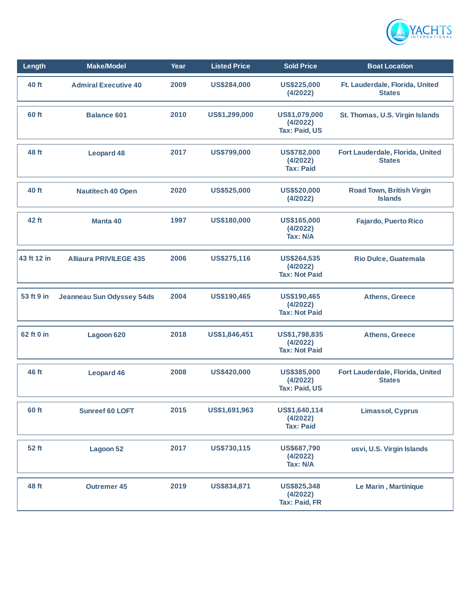

| Length      | <b>Make/Model</b>                | Year | <b>Listed Price</b> | <b>Sold Price</b>                                      | <b>Boat Location</b>                               |
|-------------|----------------------------------|------|---------------------|--------------------------------------------------------|----------------------------------------------------|
| 40 ft       | <b>Admiral Executive 40</b>      | 2009 | US\$284,000         | US\$225,000<br>(4/2022)                                | Ft. Lauderdale, Florida, United<br><b>States</b>   |
| 60 ft       | <b>Balance 601</b>               | 2010 | US\$1,299,000       | US\$1,079,000<br>(4/2022)<br><b>Tax: Paid, US</b>      | St. Thomas, U.S. Virgin Islands                    |
| 48 ft       | <b>Leopard 48</b>                | 2017 | US\$799,000         | <b>US\$782,000</b><br>(4/2022)<br><b>Tax: Paid</b>     | Fort Lauderdale, Florida, United<br><b>States</b>  |
| 40 ft       | <b>Nautitech 40 Open</b>         | 2020 | US\$525,000         | US\$520,000<br>(4/2022)                                | <b>Road Town, British Virgin</b><br><b>Islands</b> |
| 42 ft       | Manta 40                         | 1997 | US\$180,000         | <b>US\$165,000</b><br>(4/2022)<br>Tax: N/A             | <b>Fajardo, Puerto Rico</b>                        |
| 43 ft 12 in | <b>Alliaura PRIVILEGE 435</b>    | 2006 | US\$275,116         | <b>US\$264,535</b><br>(4/2022)<br><b>Tax: Not Paid</b> | <b>Rio Dulce, Guatemala</b>                        |
| 53 ft 9 in  | <b>Jeanneau Sun Odyssey 54ds</b> | 2004 | US\$190,465         | US\$190,465<br>(4/2022)<br><b>Tax: Not Paid</b>        | <b>Athens, Greece</b>                              |
| 62 ft 0 in  | Lagoon 620                       | 2018 | US\$1,846,451       | US\$1,798,835<br>(4/2022)<br><b>Tax: Not Paid</b>      | <b>Athens, Greece</b>                              |
| 46 ft       | <b>Leopard 46</b>                | 2008 | <b>US\$420,000</b>  | US\$385,000<br>(4/2022)<br><b>Tax: Paid, US</b>        | Fort Lauderdale, Florida, United<br><b>States</b>  |
| 60 ft       | <b>Sunreef 60 LOFT</b>           | 2015 | US\$1,691,963       | US\$1,640,114<br>(4/2022)<br><b>Tax: Paid</b>          | <b>Limassol, Cyprus</b>                            |
| 52 ft       | Lagoon 52                        | 2017 | US\$730,115         | US\$687,790<br>(4/2022)<br>Tax: N/A                    | usvi, U.S. Virgin Islands                          |
| 48 ft       | <b>Outremer 45</b>               | 2019 | US\$834,871         | US\$825,348<br>(4/2022)<br><b>Tax: Paid, FR</b>        | Le Marin, Martinique                               |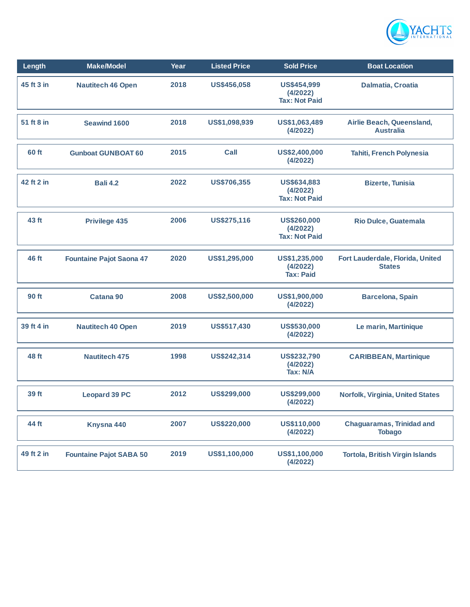

| Length     | <b>Make/Model</b>               | Year | <b>Listed Price</b> | <b>Sold Price</b>                                      | <b>Boat Location</b>                              |
|------------|---------------------------------|------|---------------------|--------------------------------------------------------|---------------------------------------------------|
| 45 ft 3 in | <b>Nautitech 46 Open</b>        | 2018 | US\$456,058         | <b>US\$454,999</b><br>(4/2022)<br><b>Tax: Not Paid</b> | Dalmatia, Croatia                                 |
| 51 ft 8 in | <b>Seawind 1600</b>             | 2018 | US\$1,098,939       | US\$1,063,489<br>(4/2022)                              | Airlie Beach, Queensland,<br><b>Australia</b>     |
| 60 ft      | <b>Gunboat GUNBOAT 60</b>       | 2015 | Call                | US\$2,400,000<br>(4/2022)                              | Tahiti, French Polynesia                          |
| 42 ft 2 in | <b>Bali 4.2</b>                 | 2022 | <b>US\$706,355</b>  | US\$634,883<br>(4/2022)<br><b>Tax: Not Paid</b>        | <b>Bizerte, Tunisia</b>                           |
| 43 ft      | <b>Privilege 435</b>            | 2006 | US\$275,116         | <b>US\$260,000</b><br>(4/2022)<br><b>Tax: Not Paid</b> | Rio Dulce, Guatemala                              |
| 46 ft      | <b>Fountaine Pajot Saona 47</b> | 2020 | US\$1,295,000       | US\$1,235,000<br>(4/2022)<br><b>Tax: Paid</b>          | Fort Lauderdale, Florida, United<br><b>States</b> |
| 90 ft      | Catana 90                       | 2008 | US\$2,500,000       | US\$1,900,000<br>(4/2022)                              | <b>Barcelona, Spain</b>                           |
| 39 ft 4 in | <b>Nautitech 40 Open</b>        | 2019 | US\$517,430         | US\$530,000<br>(4/2022)                                | Le marin, Martinique                              |
| 48 ft      | <b>Nautitech 475</b>            | 1998 | US\$242,314         | <b>US\$232,790</b><br>(4/2022)<br>Tax: N/A             | <b>CARIBBEAN, Martinique</b>                      |
| 39 ft      | <b>Leopard 39 PC</b>            | 2012 | US\$299,000         | <b>US\$299,000</b><br>(4/2022)                         | Norfolk, Virginia, United States                  |
| 44 ft      | Knysna 440                      | 2007 | US\$220,000         | US\$110,000<br>(4/2022)                                | <b>Chaguaramas, Trinidad and</b><br><b>Tobago</b> |
| 49 ft 2 in | <b>Fountaine Pajot SABA 50</b>  | 2019 | US\$1,100,000       | US\$1,100,000<br>(4/2022)                              | <b>Tortola, British Virgin Islands</b>            |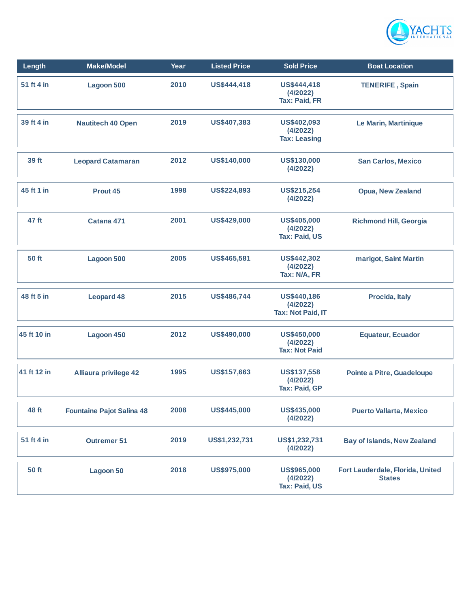

| Length       | <b>Make/Model</b>                | Year | <b>Listed Price</b> | <b>Sold Price</b>                                      | <b>Boat Location</b>                              |
|--------------|----------------------------------|------|---------------------|--------------------------------------------------------|---------------------------------------------------|
| 51 ft 4 in   | <b>Lagoon 500</b>                | 2010 | US\$444,418         | US\$444,418<br>(4/2022)<br><b>Tax: Paid, FR</b>        | <b>TENERIFE, Spain</b>                            |
| 39 ft 4 in   | <b>Nautitech 40 Open</b>         | 2019 | US\$407,383         | US\$402,093<br>(4/2022)<br><b>Tax: Leasing</b>         | Le Marin, Martinique                              |
| 39 ft        | <b>Leopard Catamaran</b>         | 2012 | US\$140,000         | US\$130,000<br>(4/2022)                                | <b>San Carlos, Mexico</b>                         |
| 45 ft 1 in   | Prout 45                         | 1998 | <b>US\$224,893</b>  | <b>US\$215,254</b><br>(4/2022)                         | <b>Opua, New Zealand</b>                          |
| 47 ft        | Catana 471                       | 2001 | <b>US\$429,000</b>  | <b>US\$405,000</b><br>(4/2022)<br><b>Tax: Paid, US</b> | <b>Richmond Hill, Georgia</b>                     |
| <b>50 ft</b> | Lagoon 500                       | 2005 | US\$465,581         | <b>US\$442,302</b><br>(4/2022)<br>Tax: N/A, FR         | marigot, Saint Martin                             |
| 48 ft 5 in   | <b>Leopard 48</b>                | 2015 | US\$486,744         | US\$440,186<br>(4/2022)<br><b>Tax: Not Paid, IT</b>    | Procida, Italy                                    |
| 45 ft 10 in  | Lagoon 450                       | 2012 | US\$490,000         | US\$450,000<br>(4/2022)<br><b>Tax: Not Paid</b>        | <b>Equateur, Ecuador</b>                          |
| 41 ft 12 in  | <b>Alliaura privilege 42</b>     | 1995 | US\$157,663         | US\$137,558<br>(4/2022)<br><b>Tax: Paid, GP</b>        | Pointe a Pitre, Guadeloupe                        |
| 48 ft        | <b>Fountaine Pajot Salina 48</b> | 2008 | US\$445,000         | US\$435,000<br>(4/2022)                                | <b>Puerto Vallarta, Mexico</b>                    |
| 51 ft 4 in   | <b>Outremer 51</b>               | 2019 | US\$1,232,731       | US\$1,232,731<br>(4/2022)                              | <b>Bay of Islands, New Zealand</b>                |
| 50 ft        | Lagoon 50                        | 2018 | US\$975,000         | US\$965,000<br>(4/2022)<br><b>Tax: Paid, US</b>        | Fort Lauderdale, Florida, United<br><b>States</b> |